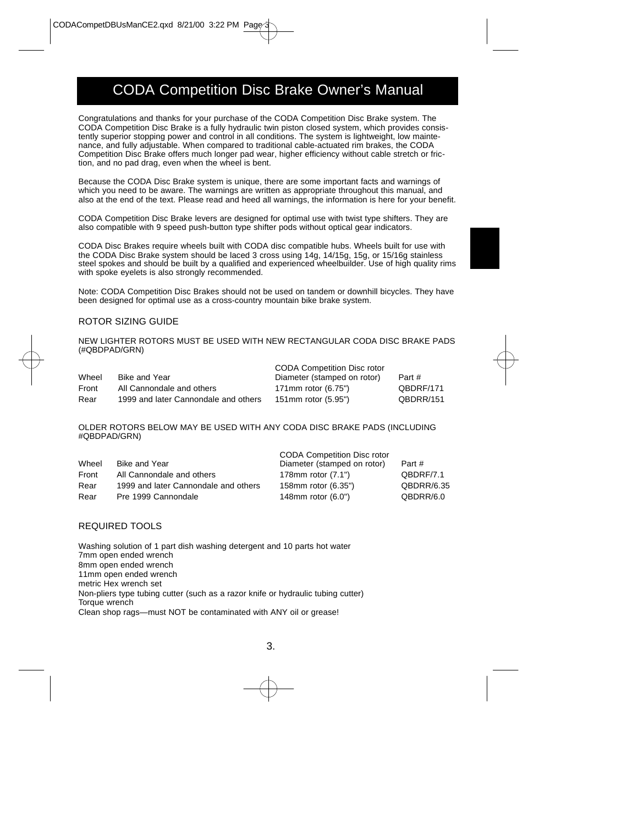# CODA Competition Disc Brake Owner's Manual

Congratulations and thanks for your purchase of the CODA Competition Disc Brake system. The CODA Competition Disc Brake is a fully hydraulic twin piston closed system, which provides consistently superior stopping power and control in all conditions. The system is lightweight, low maintenance, and fully adjustable. When compared to traditional cable-actuated rim brakes, the CODA Competition Disc Brake offers much longer pad wear, higher efficiency without cable stretch or friction, and no pad drag, even when the wheel is bent.

Because the CODA Disc Brake system is unique, there are some important facts and warnings of which you need to be aware. The warnings are written as appropriate throughout this manual, and also at the end of the text. Please read and heed all warnings, the information is here for your benefit.

CODA Competition Disc Brake levers are designed for optimal use with twist type shifters. They are also compatible with 9 speed push-button type shifter pods without optical gear indicators.

CODA Disc Brakes require wheels built with CODA disc compatible hubs. Wheels built for use with the CODA Disc Brake system should be laced 3 cross using 14g, 14/15g, 15g, or 15/16g stainless steel spokes and should be built by a qualified and experienced wheelbuilder. Use of high quality rims with spoke eyelets is also strongly recommended.

Note: CODA Competition Disc Brakes should not be used on tandem or downhill bicycles. They have been designed for optimal use as a cross-country mountain bike brake system.

# ROTOR SIZING GUIDE

NEW LIGHTER ROTORS MUST BE USED WITH NEW RECTANGULAR CODA DISC BRAKE PADS (#QBDPAD/GRN)

|                                      | <b>CODA Competition Disc rotor</b> |           |
|--------------------------------------|------------------------------------|-----------|
| <b>Bike and Year</b>                 | Diameter (stamped on rotor)        | Part #    |
| All Cannondale and others            | 171mm rotor (6.75")                | QBDRF/171 |
| 1999 and later Cannondale and others | 151mm rotor (5.95")                | QBDRR/151 |
|                                      |                                    |           |

OLDER ROTORS BELOW MAY BE USED WITH ANY CODA DISC BRAKE PADS (INCLUDING #QBDPAD/GRN)

|       |                                      | <b>CODA Competition Disc rotor</b> |            |
|-------|--------------------------------------|------------------------------------|------------|
| Wheel | Bike and Year                        | Diameter (stamped on rotor)        | Part #     |
| Front | All Cannondale and others            | 178mm rotor $(7.1")$               | QBDRF/7.1  |
| Rear  | 1999 and later Cannondale and others | 158mm rotor (6.35")                | QBDRR/6.35 |
| Rear  | Pre 1999 Cannondale                  | 148mm rotor $(6.0")$               | QBDRR/6.0  |

# REQUIRED TOOLS

Washing solution of 1 part dish washing detergent and 10 parts hot water 7mm open ended wrench 8mm open ended wrench 11mm open ended wrench metric Hex wrench set Non-pliers type tubing cutter (such as a razor knife or hydraulic tubing cutter) Torque wrench Clean shop rags—must NOT be contaminated with ANY oil or grease!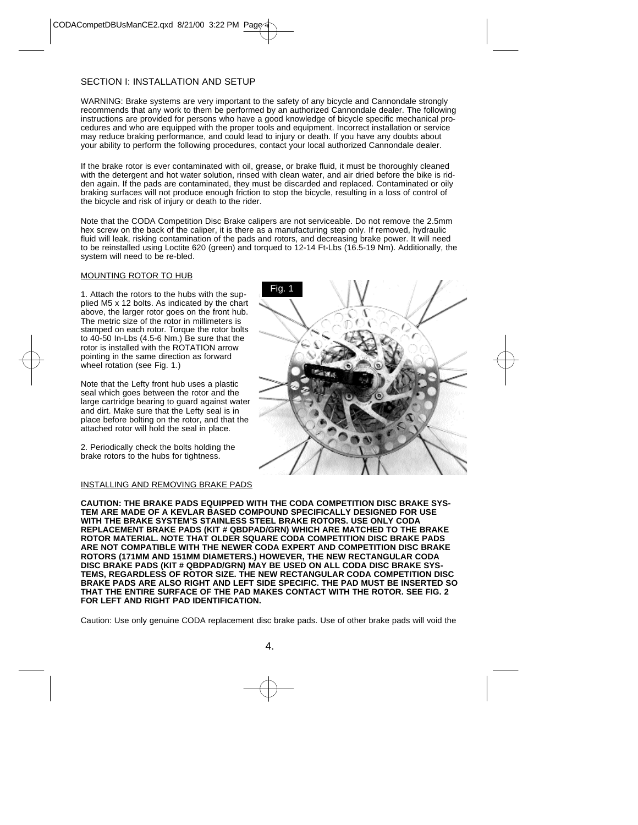# SECTION I: INSTALLATION AND SETUP

WARNING: Brake systems are very important to the safety of any bicycle and Cannondale strongly recommends that any work to them be performed by an authorized Cannondale dealer. The following instructions are provided for persons who have a good knowledge of bicycle specific mechanical procedures and who are equipped with the proper tools and equipment. Incorrect installation or service may reduce braking performance, and could lead to injury or death. If you have any doubts about your ability to perform the following procedures, contact your local authorized Cannondale dealer.

If the brake rotor is ever contaminated with oil, grease, or brake fluid, it must be thoroughly cleaned with the detergent and hot water solution, rinsed with clean water, and air dried before the bike is ridden again. If the pads are contaminated, they must be discarded and replaced. Contaminated or oily braking surfaces will not produce enough friction to stop the bicycle, resulting in a loss of control of the bicycle and risk of injury or death to the rider.

Note that the CODA Competition Disc Brake calipers are not serviceable. Do not remove the 2.5mm hex screw on the back of the caliper, it is there as a manufacturing step only. If removed, hydraulic fluid will leak, risking contamination of the pads and rotors, and decreasing brake power. It will need to be reinstalled using Loctite 620 (green) and torqued to 12-14 Ft-Lbs (16.5-19 Nm). Additionally, the system will need to be re-bled.

#### MOUNTING ROTOR TO HUB

1. Attach the rotors to the hubs with the supplied M5 x 12 bolts. As indicated by the chart above, the larger rotor goes on the front hub. The metric size of the rotor in millimeters is stamped on each rotor. Torque the rotor bolts to 40-50 In-Lbs (4.5-6 Nm.) Be sure that the rotor is installed with the ROTATION arrow pointing in the same direction as forward wheel rotation (see Fig. 1.)

Note that the Lefty front hub uses a plastic seal which goes between the rotor and the large cartridge bearing to guard against water and dirt. Make sure that the Lefty seal is in place before bolting on the rotor, and that the attached rotor will hold the seal in place.

2. Periodically check the bolts holding the brake rotors to the hubs for tightness.

# Fig. 1

#### INSTALLING AND REMOVING BRAKE PADS

**CAUTION: THE BRAKE PADS EQUIPPED WITH THE CODA COMPETITION DISC BRAKE SYS-TEM ARE MADE OF A KEVLAR BASED COMPOUND SPECIFICALLY DESIGNED FOR USE WITH THE BRAKE SYSTEM'S STAINLESS STEEL BRAKE ROTORS. USE ONLY CODA REPLACEMENT BRAKE PADS (KIT # QBDPAD/GRN) WHICH ARE MATCHED TO THE BRAKE ROTOR MATERIAL. NOTE THAT OLDER SQUARE CODA COMPETITION DISC BRAKE PADS ARE NOT COMPATIBLE WITH THE NEWER CODA EXPERT AND COMPETITION DISC BRAKE ROTORS (171MM AND 151MM DIAMETERS.) HOWEVER, THE NEW RECTANGULAR CODA DISC BRAKE PADS (KIT # QBDPAD/GRN) MAY BE USED ON ALL CODA DISC BRAKE SYS-TEMS, REGARDLESS OF ROTOR SIZE. THE NEW RECTANGULAR CODA COMPETITION DISC BRAKE PADS ARE ALSO RIGHT AND LEFT SIDE SPECIFIC. THE PAD MUST BE INSERTED SO THAT THE ENTIRE SURFACE OF THE PAD MAKES CONTACT WITH THE ROTOR. SEE FIG. 2 FOR LEFT AND RIGHT PAD IDENTIFICATION.**

Caution: Use only genuine CODA replacement disc brake pads. Use of other brake pads will void the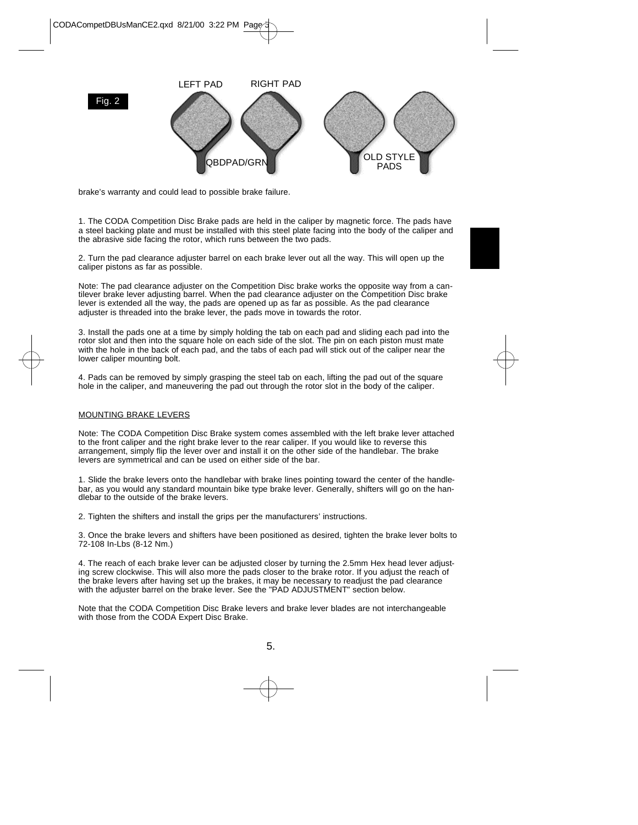

brake's warranty and could lead to possible brake failure.

1. The CODA Competition Disc Brake pads are held in the caliper by magnetic force. The pads have a steel backing plate and must be installed with this steel plate facing into the body of the caliper and the abrasive side facing the rotor, which runs between the two pads.

2. Turn the pad clearance adjuster barrel on each brake lever out all the way. This will open up the caliper pistons as far as possible.

Note: The pad clearance adjuster on the Competition Disc brake works the opposite way from a cantilever brake lever adjusting barrel. When the pad clearance adjuster on the Competition Disc brake lever is extended all the way, the pads are opened up as far as possible. As the pad clearance adjuster is threaded into the brake lever, the pads move in towards the rotor.

3. Install the pads one at a time by simply holding the tab on each pad and sliding each pad into the rotor slot and then into the square hole on each side of the slot. The pin on each piston must mate with the hole in the back of each pad, and the tabs of each pad will stick out of the caliper near the lower caliper mounting bolt.

4. Pads can be removed by simply grasping the steel tab on each, lifting the pad out of the square hole in the caliper, and maneuvering the pad out through the rotor slot in the body of the caliper.

#### MOUNTING BRAKE LEVERS

Note: The CODA Competition Disc Brake system comes assembled with the left brake lever attached to the front caliper and the right brake lever to the rear caliper. If you would like to reverse this arrangement, simply flip the lever over and install it on the other side of the handlebar. The brake levers are symmetrical and can be used on either side of the bar.

1. Slide the brake levers onto the handlebar with brake lines pointing toward the center of the handlebar, as you would any standard mountain bike type brake lever. Generally, shifters will go on the handlebar to the outside of the brake levers.

2. Tighten the shifters and install the grips per the manufacturers' instructions.

3. Once the brake levers and shifters have been positioned as desired, tighten the brake lever bolts to 72-108 In-Lbs (8-12 Nm.)

4. The reach of each brake lever can be adjusted closer by turning the 2.5mm Hex head lever adjusting screw clockwise. This will also more the pads closer to the brake rotor. If you adjust the reach of the brake levers after having set up the brakes, it may be necessary to readjust the pad clearance with the adjuster barrel on the brake lever. See the "PAD ADJUSTMENT" section below.

Note that the CODA Competition Disc Brake levers and brake lever blades are not interchangeable with those from the CODA Expert Disc Brake.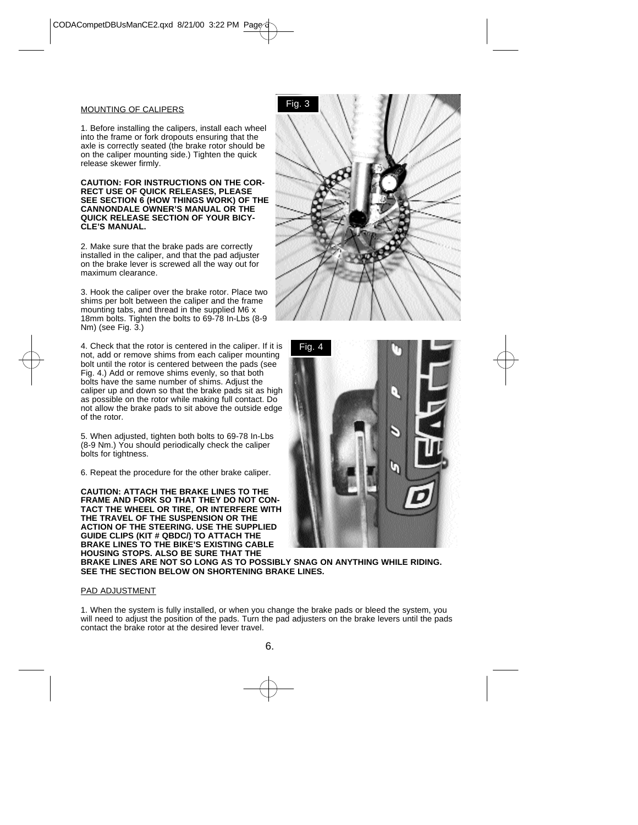#### MOUNTING OF CALIPERS

1. Before installing the calipers, install each wheel into the frame or fork dropouts ensuring that the axle is correctly seated (the brake rotor should be on the caliper mounting side.) Tighten the quick release skewer firmly.

#### **CAUTION: FOR INSTRUCTIONS ON THE COR-RECT USE OF QUICK RELEASES, PLEASE SEE SECTION 6 (HOW THINGS WORK) OF THE CANNONDALE OWNER'S MANUAL OR THE QUICK RELEASE SECTION OF YOUR BICY-CLE'S MANUAL.**

2. Make sure that the brake pads are correctly installed in the caliper, and that the pad adjuster on the brake lever is screwed all the way out for maximum clearance.

3. Hook the caliper over the brake rotor. Place two shims per bolt between the caliper and the frame mounting tabs, and thread in the supplied M6 x 18mm bolts. Tighten the bolts to 69-78 In-Lbs (8-9 Nm) (see Fig. 3.)

4. Check that the rotor is centered in the caliper. If it is not, add or remove shims from each caliper mounting bolt until the rotor is centered between the pads (see Fig. 4.) Add or remove shims evenly, so that both bolts have the same number of shims. Adjust the caliper up and down so that the brake pads sit as high as possible on the rotor while making full contact. Do not allow the brake pads to sit above the outside edge of the rotor.

5. When adjusted, tighten both bolts to 69-78 In-Lbs (8-9 Nm.) You should periodically check the caliper bolts for tightness.

6. Repeat the procedure for the other brake caliper.

**CAUTION: ATTACH THE BRAKE LINES TO THE FRAME AND FORK SO THAT THEY DO NOT CON-TACT THE WHEEL OR TIRE, OR INTERFERE WITH THE TRAVEL OF THE SUSPENSION OR THE ACTION OF THE STEERING. USE THE SUPPLIED GUIDE CLIPS (KIT # QBDC/) TO ATTACH THE BRAKE LINES TO THE BIKE'S EXISTING CABLE HOUSING STOPS. ALSO BE SURE THAT THE**





**BRAKE LINES ARE NOT SO LONG AS TO POSSIBLY SNAG ON ANYTHING WHILE RIDING. SEE THE SECTION BELOW ON SHORTENING BRAKE LINES.**

#### PAD ADJUSTMENT

1. When the system is fully installed, or when you change the brake pads or bleed the system, you will need to adjust the position of the pads. Turn the pad adjusters on the brake levers until the pads contact the brake rotor at the desired lever travel.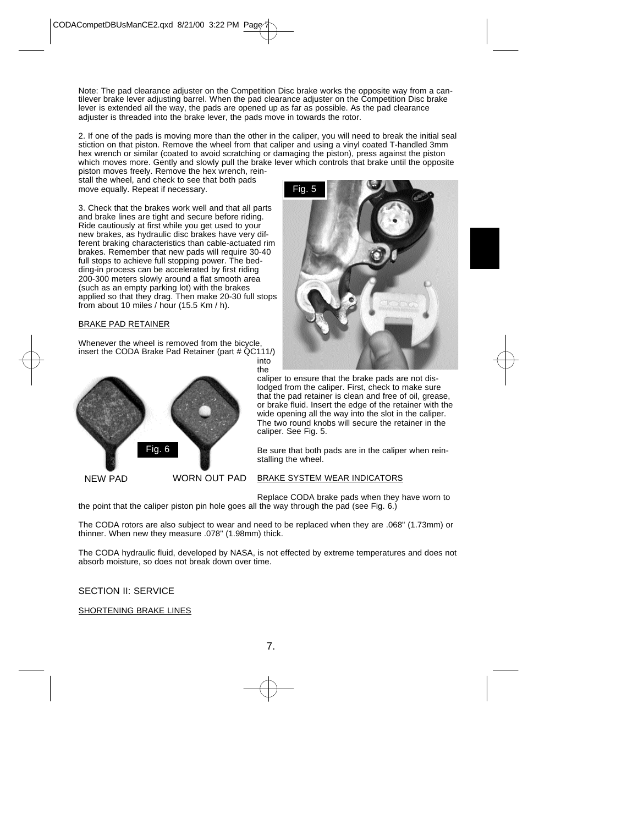Note: The pad clearance adjuster on the Competition Disc brake works the opposite way from a cantilever brake lever adjusting barrel. When the pad clearance adjuster on the Competition Disc brake lever is extended all the way, the pads are opened up as far as possible. As the pad clearance adjuster is threaded into the brake lever, the pads move in towards the rotor.

2. If one of the pads is moving more than the other in the caliper, you will need to break the initial seal stiction on that piston. Remove the wheel from that caliper and using a vinyl coated T-handled 3mm hex wrench or similar (coated to avoid scratching or damaging the piston), press against the piston which moves more. Gently and slowly pull the brake lever which controls that brake until the opposite

Fig. 5

piston moves freely. Remove the hex wrench, reinstall the wheel, and check to see that both pads move equally. Repeat if necessary.

3. Check that the brakes work well and that all parts and brake lines are tight and secure before riding. Ride cautiously at first while you get used to your new brakes, as hydraulic disc brakes have very different braking characteristics than cable-actuated rim brakes. Remember that new pads will require 30-40 full stops to achieve full stopping power. The bedding-in process can be accelerated by first riding 200-300 meters slowly around a flat smooth area (such as an empty parking lot) with the brakes applied so that they drag. Then make 20-30 full stops from about 10 miles / hour (15.5 Km / h).

# BRAKE PAD RETAINER

Whenever the wheel is removed from the bicycle, insert the CODA Brake Pad Retainer (part # QC111/)



into the

caliper to ensure that the brake pads are not dislodged from the caliper. First, check to make sure that the pad retainer is clean and free of oil, grease, or brake fluid. Insert the edge of the retainer with the wide opening all the way into the slot in the caliper. The two round knobs will secure the retainer in the caliper. See Fig. 5.

Be sure that both pads are in the caliper when reinstalling the wheel.

#### BRAKE SYSTEM WEAR INDICATORS

Replace CODA brake pads when they have worn to the point that the caliper piston pin hole goes all the way through the pad (see Fig. 6.)

The CODA rotors are also subject to wear and need to be replaced when they are .068" (1.73mm) or thinner. When new they measure .078" (1.98mm) thick.

The CODA hydraulic fluid, developed by NASA, is not effected by extreme temperatures and does not absorb moisture, so does not break down over time.

# SECTION II<sup>I</sup> SERVICE

# SHORTENING BRAKE LINES

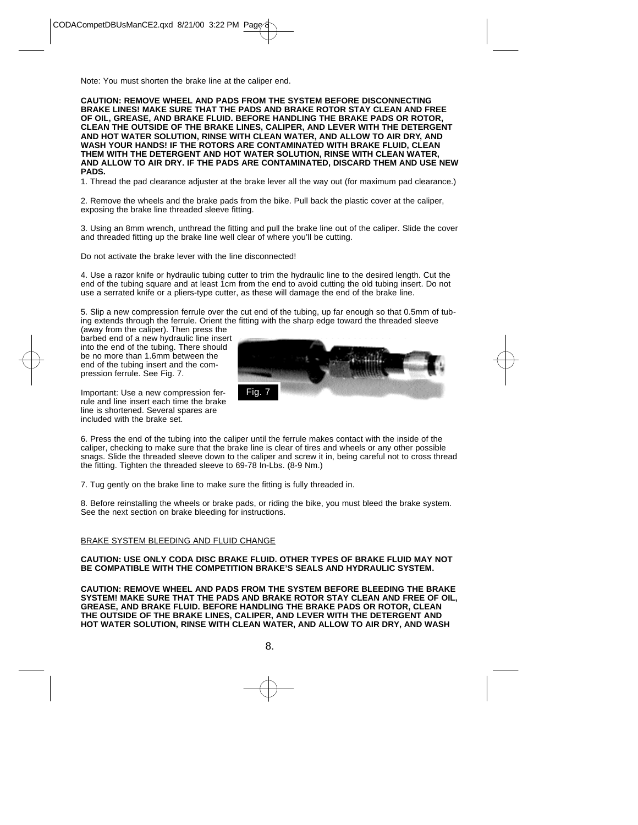Note: You must shorten the brake line at the caliper end.

**CAUTION: REMOVE WHEEL AND PADS FROM THE SYSTEM BEFORE DISCONNECTING BRAKE LINES! MAKE SURE THAT THE PADS AND BRAKE ROTOR STAY CLEAN AND FREE OF OIL, GREASE, AND BRAKE FLUID. BEFORE HANDLING THE BRAKE PADS OR ROTOR, CLEAN THE OUTSIDE OF THE BRAKE LINES, CALIPER, AND LEVER WITH THE DETERGENT AND HOT WATER SOLUTION, RINSE WITH CLEAN WATER, AND ALLOW TO AIR DRY, AND WASH YOUR HANDS! IF THE ROTORS ARE CONTAMINATED WITH BRAKE FLUID, CLEAN THEM WITH THE DETERGENT AND HOT WATER SOLUTION, RINSE WITH CLEAN WATER, AND ALLOW TO AIR DRY. IF THE PADS ARE CONTAMINATED, DISCARD THEM AND USE NEW PADS.**

1. Thread the pad clearance adjuster at the brake lever all the way out (for maximum pad clearance.)

2. Remove the wheels and the brake pads from the bike. Pull back the plastic cover at the caliper, exposing the brake line threaded sleeve fitting.

3. Using an 8mm wrench, unthread the fitting and pull the brake line out of the caliper. Slide the cover and threaded fitting up the brake line well clear of where you'll be cutting.

Do not activate the brake lever with the line disconnected!

4. Use a razor knife or hydraulic tubing cutter to trim the hydraulic line to the desired length. Cut the end of the tubing square and at least 1cm from the end to avoid cutting the old tubing insert. Do not use a serrated knife or a pliers-type cutter, as these will damage the end of the brake line.

5. Slip a new compression ferrule over the cut end of the tubing, up far enough so that 0.5mm of tubing extends through the ferrule. Orient the fitting with the sharp edge toward the threaded sleeve

(away from the caliper). Then press the barbed end of a new hydraulic line insert into the end of the tubing. There should be no more than 1.6mm between the end of the tubing insert and the compression ferrule. See Fig. 7.



Important: Use a new compression ferrule and line insert each time the brake line is shortened. Several spares are included with the brake set.

6. Press the end of the tubing into the caliper until the ferrule makes contact with the inside of the caliper, checking to make sure that the brake line is clear of tires and wheels or any other possible snags. Slide the threaded sleeve down to the caliper and screw it in, being careful not to cross thread the fitting. Tighten the threaded sleeve to 69-78 In-Lbs. (8-9 Nm.)

7. Tug gently on the brake line to make sure the fitting is fully threaded in.

8. Before reinstalling the wheels or brake pads, or riding the bike, you must bleed the brake system. See the next section on brake bleeding for instructions.

#### BRAKE SYSTEM BLEEDING AND FLUID CHANGE

#### **CAUTION: USE ONLY CODA DISC BRAKE FLUID. OTHER TYPES OF BRAKE FLUID MAY NOT BE COMPATIBLE WITH THE COMPETITION BRAKE'S SEALS AND HYDRAULIC SYSTEM.**

**CAUTION: REMOVE WHEEL AND PADS FROM THE SYSTEM BEFORE BLEEDING THE BRAKE SYSTEM! MAKE SURE THAT THE PADS AND BRAKE ROTOR STAY CLEAN AND FREE OF OIL, GREASE, AND BRAKE FLUID. BEFORE HANDLING THE BRAKE PADS OR ROTOR, CLEAN THE OUTSIDE OF THE BRAKE LINES, CALIPER, AND LEVER WITH THE DETERGENT AND HOT WATER SOLUTION, RINSE WITH CLEAN WATER, AND ALLOW TO AIR DRY, AND WASH**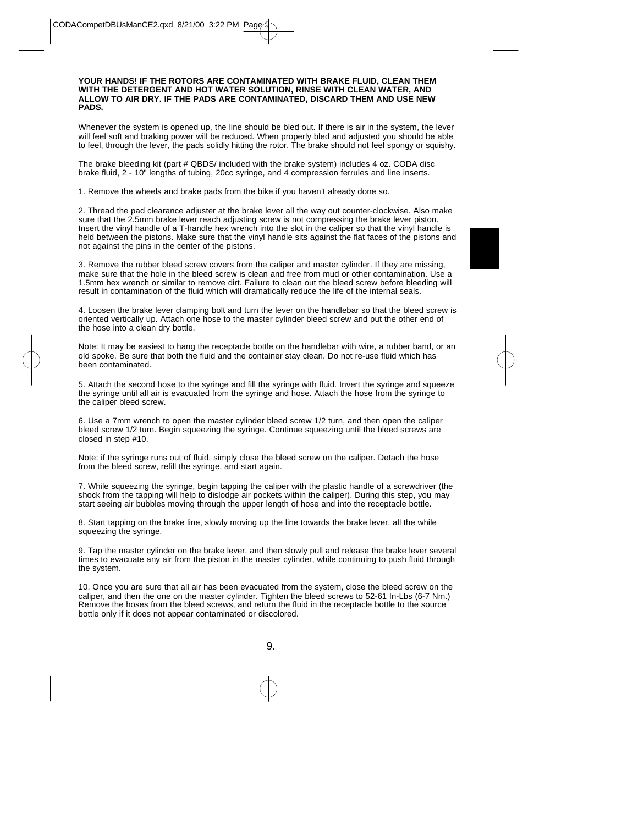#### **YOUR HANDS! IF THE ROTORS ARE CONTAMINATED WITH BRAKE FLUID, CLEAN THEM WITH THE DETERGENT AND HOT WATER SOLUTION, RINSE WITH CLEAN WATER, AND ALLOW TO AIR DRY. IF THE PADS ARE CONTAMINATED, DISCARD THEM AND USE NEW PADS.**

Whenever the system is opened up, the line should be bled out. If there is air in the system, the lever will feel soft and braking power will be reduced. When properly bled and adjusted you should be able to feel, through the lever, the pads solidly hitting the rotor. The brake should not feel spongy or squishy.

The brake bleeding kit (part # QBDS/ included with the brake system) includes 4 oz. CODA disc brake fluid, 2 - 10" lengths of tubing, 20cc syringe, and 4 compression ferrules and line inserts.

1. Remove the wheels and brake pads from the bike if you haven't already done so.

2. Thread the pad clearance adjuster at the brake lever all the way out counter-clockwise. Also make sure that the 2.5mm brake lever reach adjusting screw is not compressing the brake lever piston. Insert the vinyl handle of a T-handle hex wrench into the slot in the caliper so that the vinyl handle is held between the pistons. Make sure that the vinyl handle sits against the flat faces of the pistons and not against the pins in the center of the pistons.

3. Remove the rubber bleed screw covers from the caliper and master cylinder. If they are missing, make sure that the hole in the bleed screw is clean and free from mud or other contamination. Use a 1.5mm hex wrench or similar to remove dirt. Failure to clean out the bleed screw before bleeding will result in contamination of the fluid which will dramatically reduce the life of the internal seals.

4. Loosen the brake lever clamping bolt and turn the lever on the handlebar so that the bleed screw is oriented vertically up. Attach one hose to the master cylinder bleed screw and put the other end of the hose into a clean dry bottle.

Note: It may be easiest to hang the receptacle bottle on the handlebar with wire, a rubber band, or an old spoke. Be sure that both the fluid and the container stay clean. Do not re-use fluid which has been contaminated.

5. Attach the second hose to the syringe and fill the syringe with fluid. Invert the syringe and squeeze the syringe until all air is evacuated from the syringe and hose. Attach the hose from the syringe to the caliper bleed screw.

6. Use a 7mm wrench to open the master cylinder bleed screw 1/2 turn, and then open the caliper bleed screw 1/2 turn. Begin squeezing the syringe. Continue squeezing until the bleed screws are closed in step #10.

Note: if the syringe runs out of fluid, simply close the bleed screw on the caliper. Detach the hose from the bleed screw, refill the syringe, and start again.

7. While squeezing the syringe, begin tapping the caliper with the plastic handle of a screwdriver (the shock from the tapping will help to dislodge air pockets within the caliper). During this step, you may start seeing air bubbles moving through the upper length of hose and into the receptacle bottle.

8. Start tapping on the brake line, slowly moving up the line towards the brake lever, all the while squeezing the syringe.

9. Tap the master cylinder on the brake lever, and then slowly pull and release the brake lever several times to evacuate any air from the piston in the master cylinder, while continuing to push fluid through the system.

10. Once you are sure that all air has been evacuated from the system, close the bleed screw on the caliper, and then the one on the master cylinder. Tighten the bleed screws to 52-61 In-Lbs (6-7 Nm.) Remove the hoses from the bleed screws, and return the fluid in the receptacle bottle to the source bottle only if it does not appear contaminated or discolored.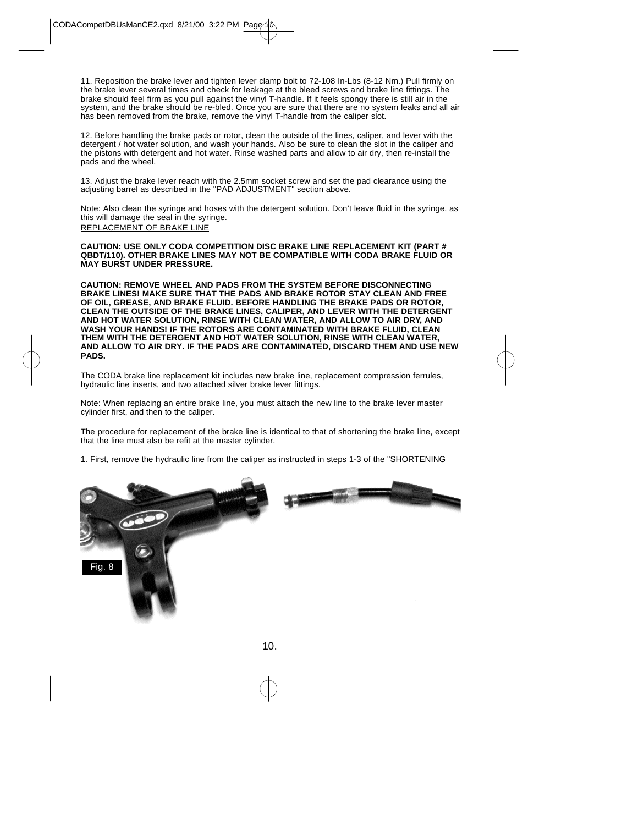11. Reposition the brake lever and tighten lever clamp bolt to 72-108 In-Lbs (8-12 Nm.) Pull firmly on the brake lever several times and check for leakage at the bleed screws and brake line fittings. The brake should feel firm as you pull against the vinyl T-handle. If it feels spongy there is still air in the system, and the brake should be re-bled. Once you are sure that there are no system leaks and all air has been removed from the brake, remove the vinyl T-handle from the caliper slot.

12. Before handling the brake pads or rotor, clean the outside of the lines, caliper, and lever with the detergent / hot water solution, and wash your hands. Also be sure to clean the slot in the caliper and the pistons with detergent and hot water. Rinse washed parts and allow to air dry, then re-install the pads and the wheel.

13. Adjust the brake lever reach with the 2.5mm socket screw and set the pad clearance using the adjusting barrel as described in the "PAD ADJUSTMENT" section above.

Note: Also clean the syringe and hoses with the detergent solution. Don't leave fluid in the syringe, as this will damage the seal in the syringe. REPLACEMENT OF BRAKE LINE

**CAUTION: USE ONLY CODA COMPETITION DISC BRAKE LINE REPLACEMENT KIT (PART # QBDT/110). OTHER BRAKE LINES MAY NOT BE COMPATIBLE WITH CODA BRAKE FLUID OR MAY BURST UNDER PRESSURE.**

**CAUTION: REMOVE WHEEL AND PADS FROM THE SYSTEM BEFORE DISCONNECTING BRAKE LINES! MAKE SURE THAT THE PADS AND BRAKE ROTOR STAY CLEAN AND FREE OF OIL, GREASE, AND BRAKE FLUID. BEFORE HANDLING THE BRAKE PADS OR ROTOR, CLEAN THE OUTSIDE OF THE BRAKE LINES, CALIPER, AND LEVER WITH THE DETERGENT AND HOT WATER SOLUTION, RINSE WITH CLEAN WATER, AND ALLOW TO AIR DRY, AND WASH YOUR HANDS! IF THE ROTORS ARE CONTAMINATED WITH BRAKE FLUID, CLEAN THEM WITH THE DETERGENT AND HOT WATER SOLUTION, RINSE WITH CLEAN WATER, AND ALLOW TO AIR DRY. IF THE PADS ARE CONTAMINATED, DISCARD THEM AND USE NEW PADS.**

The CODA brake line replacement kit includes new brake line, replacement compression ferrules, hydraulic line inserts, and two attached silver brake lever fittings.

Note: When replacing an entire brake line, you must attach the new line to the brake lever master cylinder first, and then to the caliper.

The procedure for replacement of the brake line is identical to that of shortening the brake line, except that the line must also be refit at the master cylinder.

1. First, remove the hydraulic line from the caliper as instructed in steps 1-3 of the "SHORTENING

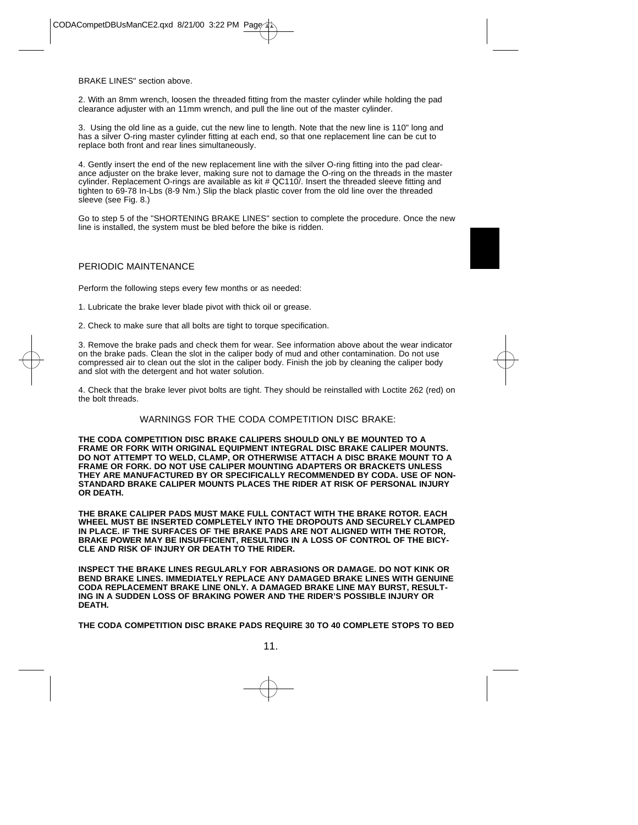BRAKE LINES" section above.

2. With an 8mm wrench, loosen the threaded fitting from the master cylinder while holding the pad clearance adjuster with an 11mm wrench, and pull the line out of the master cylinder.

3. Using the old line as a guide, cut the new line to length. Note that the new line is 110" long and has a silver O-ring master cylinder fitting at each end, so that one replacement line can be cut to replace both front and rear lines simultaneously.

4. Gently insert the end of the new replacement line with the silver O-ring fitting into the pad clearance adjuster on the brake lever, making sure not to damage the O-ring on the threads in the master cylinder. Replacement O-rings are available as kit # QC110/. Insert the threaded sleeve fitting and tighten to 69-78 In-Lbs (8-9 Nm.) Slip the black plastic cover from the old line over the threaded sleeve (see Fig. 8.)

Go to step 5 of the "SHORTENING BRAKE LINES" section to complete the procedure. Once the new line is installed, the system must be bled before the bike is ridden.

# PERIODIC MAINTENANCE

Perform the following steps every few months or as needed:

- 1. Lubricate the brake lever blade pivot with thick oil or grease.
- 2. Check to make sure that all bolts are tight to torque specification.

3. Remove the brake pads and check them for wear. See information above about the wear indicator on the brake pads. Clean the slot in the caliper body of mud and other contamination. Do not use compressed air to clean out the slot in the caliper body. Finish the job by cleaning the caliper body and slot with the detergent and hot water solution.

4. Check that the brake lever pivot bolts are tight. They should be reinstalled with Loctite 262 (red) on the bolt threads.

#### WARNINGS FOR THE CODA COMPETITION DISC BRAKE:

**THE CODA COMPETITION DISC BRAKE CALIPERS SHOULD ONLY BE MOUNTED TO A FRAME OR FORK WITH ORIGINAL EQUIPMENT INTEGRAL DISC BRAKE CALIPER MOUNTS. DO NOT ATTEMPT TO WELD, CLAMP, OR OTHERWISE ATTACH A DISC BRAKE MOUNT TO A FRAME OR FORK. DO NOT USE CALIPER MOUNTING ADAPTERS OR BRACKETS UNLESS THEY ARE MANUFACTURED BY OR SPECIFICALLY RECOMMENDED BY CODA. USE OF NON-STANDARD BRAKE CALIPER MOUNTS PLACES THE RIDER AT RISK OF PERSONAL INJURY OR DEATH.** 

**THE BRAKE CALIPER PADS MUST MAKE FULL CONTACT WITH THE BRAKE ROTOR. EACH WHEEL MUST BE INSERTED COMPLETELY INTO THE DROPOUTS AND SECURELY CLAMPED IN PLACE. IF THE SURFACES OF THE BRAKE PADS ARE NOT ALIGNED WITH THE ROTOR, BRAKE POWER MAY BE INSUFFICIENT, RESULTING IN A LOSS OF CONTROL OF THE BICY-CLE AND RISK OF INJURY OR DEATH TO THE RIDER.**

**INSPECT THE BRAKE LINES REGULARLY FOR ABRASIONS OR DAMAGE. DO NOT KINK OR BEND BRAKE LINES. IMMEDIATELY REPLACE ANY DAMAGED BRAKE LINES WITH GENUINE CODA REPLACEMENT BRAKE LINE ONLY. A DAMAGED BRAKE LINE MAY BURST, RESULT-ING IN A SUDDEN LOSS OF BRAKING POWER AND THE RIDER'S POSSIBLE INJURY OR DEATH.**

**THE CODA COMPETITION DISC BRAKE PADS REQUIRE 30 TO 40 COMPLETE STOPS TO BED**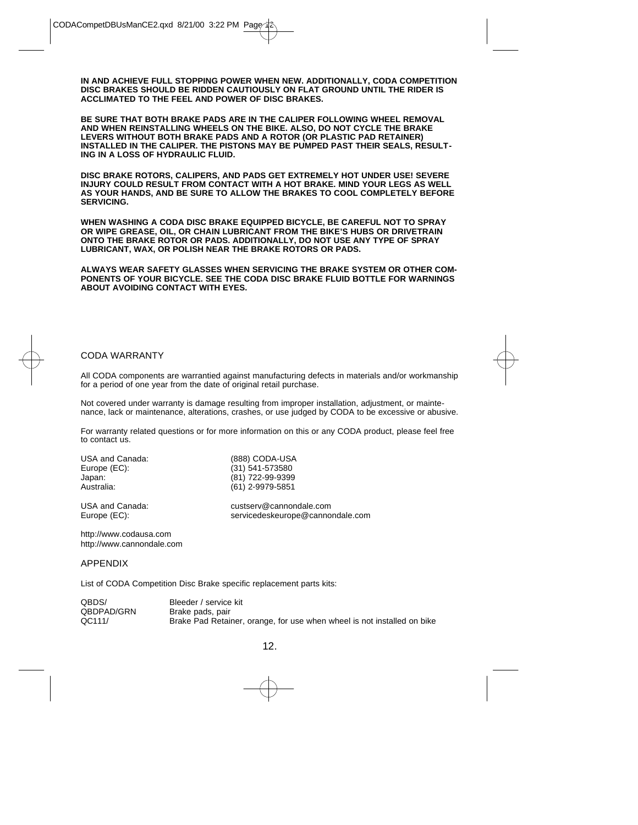**IN AND ACHIEVE FULL STOPPING POWER WHEN NEW. ADDITIONALLY, CODA COMPETITION DISC BRAKES SHOULD BE RIDDEN CAUTIOUSLY ON FLAT GROUND UNTIL THE RIDER IS ACCLIMATED TO THE FEEL AND POWER OF DISC BRAKES.**

**BE SURE THAT BOTH BRAKE PADS ARE IN THE CALIPER FOLLOWING WHEEL REMOVAL AND WHEN REINSTALLING WHEELS ON THE BIKE. ALSO, DO NOT CYCLE THE BRAKE LEVERS WITHOUT BOTH BRAKE PADS AND A ROTOR (OR PLASTIC PAD RETAINER) INSTALLED IN THE CALIPER. THE PISTONS MAY BE PUMPED PAST THEIR SEALS, RESULT-ING IN A LOSS OF HYDRAULIC FLUID.** 

**DISC BRAKE ROTORS, CALIPERS, AND PADS GET EXTREMELY HOT UNDER USE! SEVERE INJURY COULD RESULT FROM CONTACT WITH A HOT BRAKE. MIND YOUR LEGS AS WELL AS YOUR HANDS, AND BE SURE TO ALLOW THE BRAKES TO COOL COMPLETELY BEFORE SERVICING.** 

**WHEN WASHING A CODA DISC BRAKE EQUIPPED BICYCLE, BE CAREFUL NOT TO SPRAY OR WIPE GREASE, OIL, OR CHAIN LUBRICANT FROM THE BIKE'S HUBS OR DRIVETRAIN ONTO THE BRAKE ROTOR OR PADS. ADDITIONALLY, DO NOT USE ANY TYPE OF SPRAY LUBRICANT, WAX, OR POLISH NEAR THE BRAKE ROTORS OR PADS.** 

**ALWAYS WEAR SAFETY GLASSES WHEN SERVICING THE BRAKE SYSTEM OR OTHER COM-PONENTS OF YOUR BICYCLE. SEE THE CODA DISC BRAKE FLUID BOTTLE FOR WARNINGS ABOUT AVOIDING CONTACT WITH EYES.** 

# CODA WARRANTY

All CODA components are warrantied against manufacturing defects in materials and/or workmanship for a period of one year from the date of original retail purchase.

Not covered under warranty is damage resulting from improper installation, adjustment, or maintenance, lack or maintenance, alterations, crashes, or use judged by CODA to be excessive or abusive.

For warranty related questions or for more information on this or any CODA product, please feel free to contact us.

USA and Canada: (888) CODA-USA<br>Europe (EC): (31) 541-573580 Europe (EC): (31) 541-573580 Japan: (81) 722-99-9399

Australia: (61) 2-9979-5851

USA and Canada: custserv@cannondale.com<br>
Europe (EC): customagnetic entrope anno servicedeskeurope@cannondale.com

http://www.codausa.com http://www.cannondale.com

#### APPENDIX

List of CODA Competition Disc Brake specific replacement parts kits:

| QBDS/      | Bleeder / service kit                                                   |
|------------|-------------------------------------------------------------------------|
| QBDPAD/GRN | Brake pads, pair                                                        |
| QC111/     | Brake Pad Retainer, orange, for use when wheel is not installed on bike |